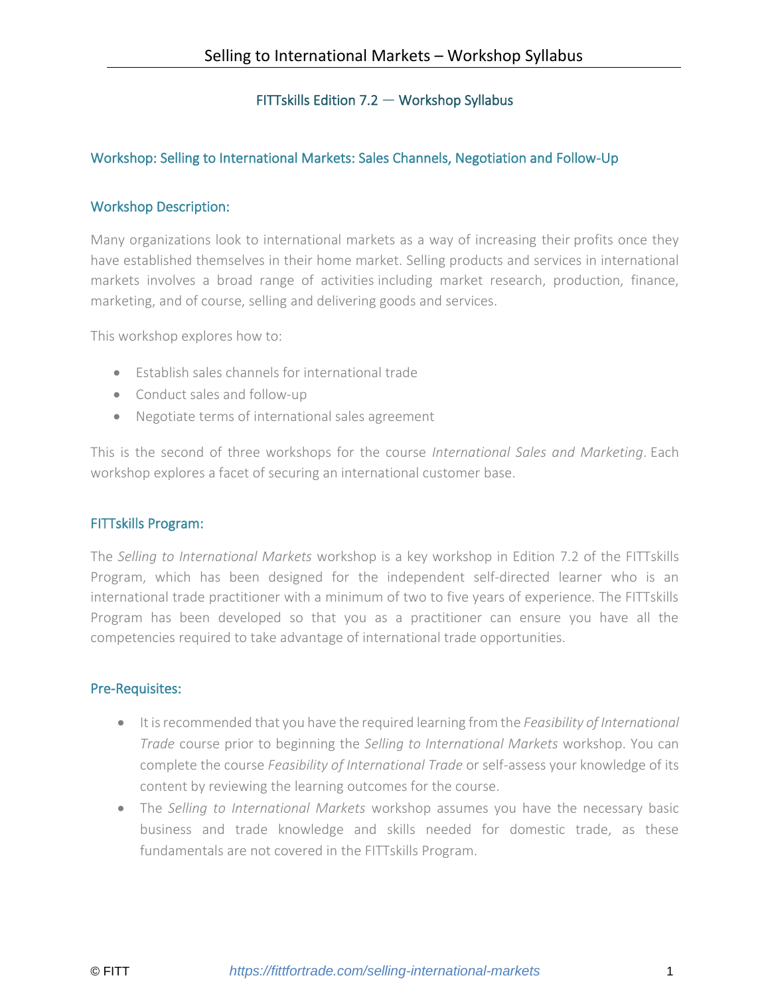## FITTskills Edition 7.2 — Workshop Syllabus

## Workshop: Selling to International Markets: Sales Channels, Negotiation and Follow-Up

## Workshop Description:

Many organizations look to international markets as a way of increasing their profits once they have established themselves in their home market. Selling products and services in international markets involves a broad range of activities including market research, production, finance, marketing, and of course, selling and delivering goods and services.

This workshop explores how to:

- Establish sales channels for international trade
- Conduct sales and follow-up
- Negotiate terms of international sales agreement

This is the second of three workshops for the course *International Sales and Marketing*. Each workshop explores a facet of securing an international customer base.

## FITTskills Program:

The *Selling to International Markets* workshop is a key workshop in Edition 7.2 of the FITTskills Program, which has been designed for the independent self-directed learner who is an international trade practitioner with a minimum of two to five years of experience. The FITTskills Program has been developed so that you as a practitioner can ensure you have all the competencies required to take advantage of international trade opportunities.

## Pre-Requisites:

- It is recommended that you have the required learning from the *Feasibility of International Trade* course prior to beginning the *Selling to International Markets* workshop. You can complete the course *Feasibility of International Trade* or self-assess your knowledge of its content by reviewing the learning outcomes for the course.
- The *Selling to International Markets* workshop assumes you have the necessary basic business and trade knowledge and skills needed for domestic trade, as these fundamentals are not covered in the FITTskills Program.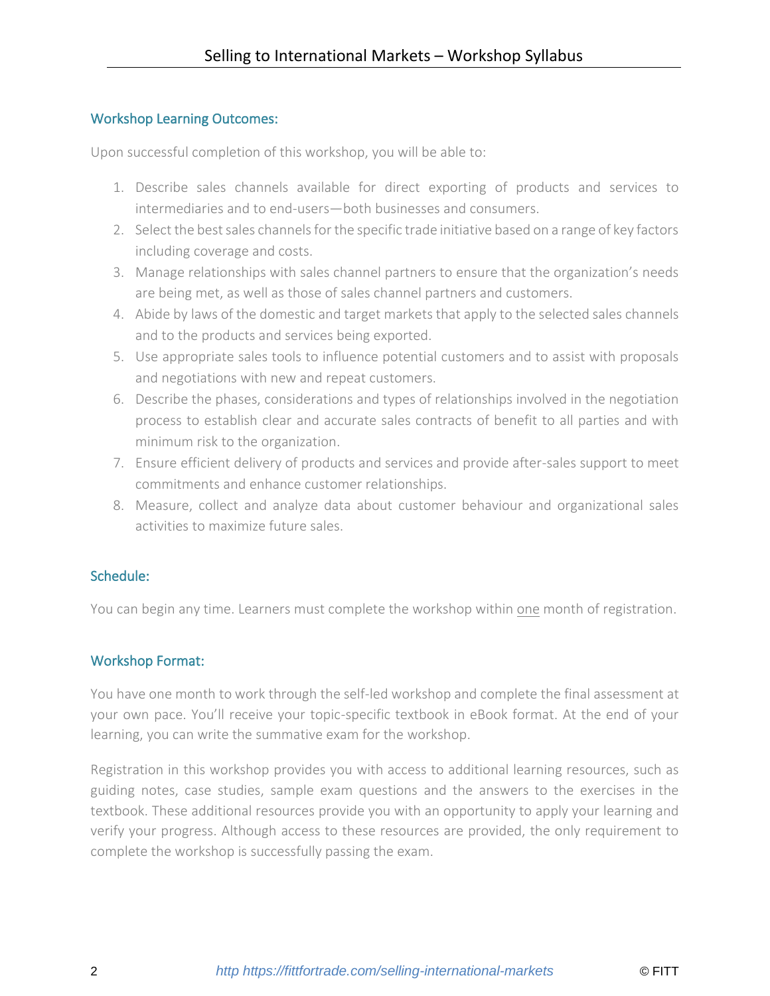## Workshop Learning Outcomes:

Upon successful completion of this workshop, you will be able to:

- 1. Describe sales channels available for direct exporting of products and services to intermediaries and to end-users—both businesses and consumers.
- 2. Select the best sales channels for the specific trade initiative based on a range of key factors including coverage and costs.
- 3. Manage relationships with sales channel partners to ensure that the organization's needs are being met, as well as those of sales channel partners and customers.
- 4. Abide by laws of the domestic and target markets that apply to the selected sales channels and to the products and services being exported.
- 5. Use appropriate sales tools to influence potential customers and to assist with proposals and negotiations with new and repeat customers.
- 6. Describe the phases, considerations and types of relationships involved in the negotiation process to establish clear and accurate sales contracts of benefit to all parties and with minimum risk to the organization.
- 7. Ensure efficient delivery of products and services and provide after-sales support to meet commitments and enhance customer relationships.
- 8. Measure, collect and analyze data about customer behaviour and organizational sales activities to maximize future sales.

## Schedule:

You can begin any time. Learners must complete the workshop within one month of registration.

## Workshop Format:

You have one month to work through the self-led workshop and complete the final assessment at your own pace. You'll receive your topic-specific textbook in eBook format. At the end of your learning, you can write the summative exam for the workshop.

Registration in this workshop provides you with access to additional learning resources, such as guiding notes, case studies, sample exam questions and the answers to the exercises in the textbook. These additional resources provide you with an opportunity to apply your learning and verify your progress. Although access to these resources are provided, the only requirement to complete the workshop is successfully passing the exam.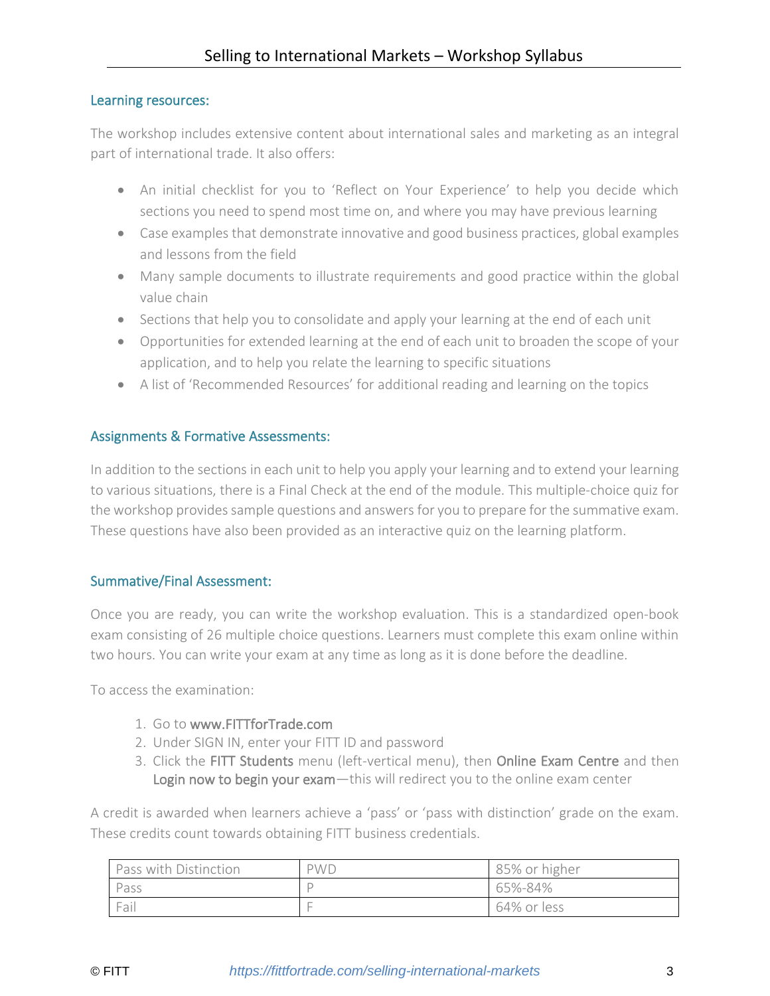## Learning resources:

The workshop includes extensive content about international sales and marketing as an integral part of international trade. It also offers:

- An initial checklist for you to 'Reflect on Your Experience' to help you decide which sections you need to spend most time on, and where you may have previous learning
- Case examples that demonstrate innovative and good business practices, global examples and lessons from the field
- Many sample documents to illustrate requirements and good practice within the global value chain
- Sections that help you to consolidate and apply your learning at the end of each unit
- Opportunities for extended learning at the end of each unit to broaden the scope of your application, and to help you relate the learning to specific situations
- A list of 'Recommended Resources' for additional reading and learning on the topics

## Assignments & Formative Assessments:

In addition to the sections in each unit to help you apply your learning and to extend your learning to various situations, there is a Final Check at the end of the module. This multiple-choice quiz for the workshop provides sample questions and answers for you to prepare for the summative exam. These questions have also been provided as an interactive quiz on the learning platform.

## Summative/Final Assessment:

Once you are ready, you can write the workshop evaluation. This is a standardized open-book exam consisting of 26 multiple choice questions. Learners must complete this exam online within two hours. You can write your exam at any time as long as it is done before the deadline.

To access the examination:

- 1. Go to [www.FITTforTrade.com](http://www.fittfortrade.com/)
- 2. Under SIGN IN, enter your FITT ID and password
- 3. Click the FITT Students menu (left-vertical menu), then Online Exam Centre and then Login now to begin your exam-this will redirect you to the online exam center

A credit is awarded when learners achieve a 'pass' or 'pass with distinction' grade on the exam. These credits count towards obtaining FITT business credentials.

| Pass with Distinction | <b>PWD</b> | 85% or higher |
|-----------------------|------------|---------------|
| Pass                  |            | 65%-84%       |
| Fail                  |            | 64% or less   |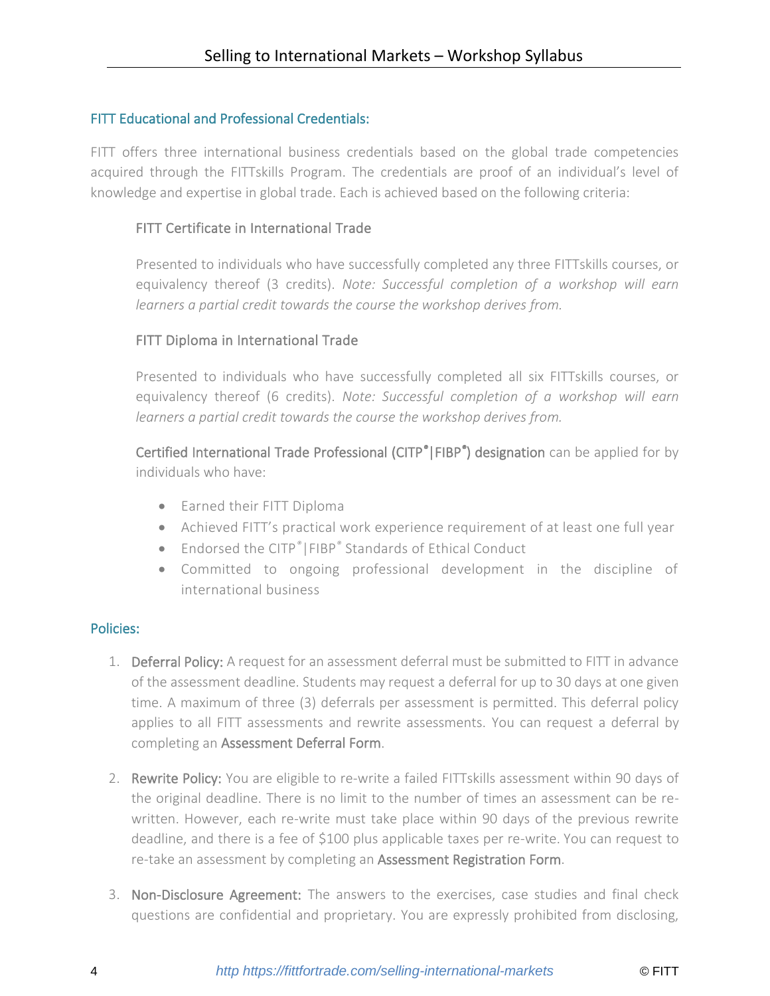## FITT Educational and Professional Credentials:

FITT offers three international business credentials based on the global trade competencies acquired through the FITTskills Program. The credentials are proof of an individual's level of knowledge and expertise in global trade. Each is achieved based on the following criteria:

## FITT Certificate in International Trade

Presented to individuals who have successfully completed any three FITTskills courses, or equivalency thereof (3 credits). *Note: Successful completion of a workshop will earn learners a partial credit towards the course the workshop derives from.*

## FITT Diploma in International Trade

Presented to individuals who have successfully completed all six FITTskills courses, or equivalency thereof (6 credits). *Note: Successful completion of a workshop will earn learners a partial credit towards the course the workshop derives from.*

Certified International Trade Professional (CITP*®*|FIBP*®* ) designation can be applied for by individuals who have:

- Earned their FITT Diploma
- Achieved FITT's practical work experience requirement of at least one full year
- Endorsed the CITP*®*|FIBP*®* Standards of Ethical Conduct
- Committed to ongoing professional development in the discipline of international business

## Policies:

- 1. Deferral Policy: A request for an assessment deferral must be submitted to FITT in advance of the assessment deadline. Students may request a deferral for up to 30 days at one given time. A maximum of three (3) deferrals per assessment is permitted. This deferral policy applies to all FITT assessments and rewrite assessments. You can request a deferral by completing an [Assessment Deferral Form.](https://fittfortrade.com/assessment-deferral-request)
- 2. Rewrite Policy: You are eligible to re-write a failed FITTskills assessment within 90 days of the original deadline. There is no limit to the number of times an assessment can be rewritten. However, each re-write must take place within 90 days of the previous rewrite deadline, and there is a fee of \$100 plus applicable taxes per re-write. You can request to re-take an assessment by completing an [Assessment Registration Form.](http://fittfortrade.com/assessment-rewrite-registration)
- 3. Non-Disclosure Agreement: The answers to the exercises, case studies and final check questions are confidential and proprietary. You are expressly prohibited from disclosing,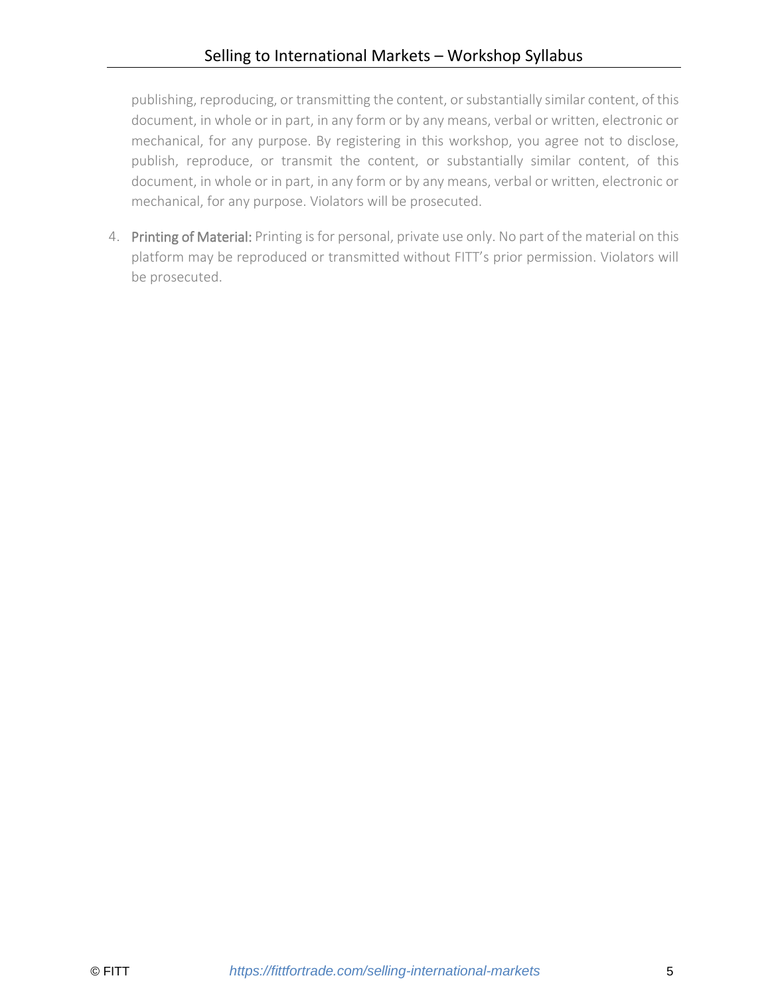publishing, reproducing, or transmitting the content, or substantially similar content, of this document, in whole or in part, in any form or by any means, verbal or written, electronic or mechanical, for any purpose. By registering in this workshop, you agree not to disclose, publish, reproduce, or transmit the content, or substantially similar content, of this document, in whole or in part, in any form or by any means, verbal or written, electronic or mechanical, for any purpose. Violators will be prosecuted.

4. Printing of Material: Printing is for personal, private use only. No part of the material on this platform may be reproduced or transmitted without FITT's prior permission. Violators will be prosecuted.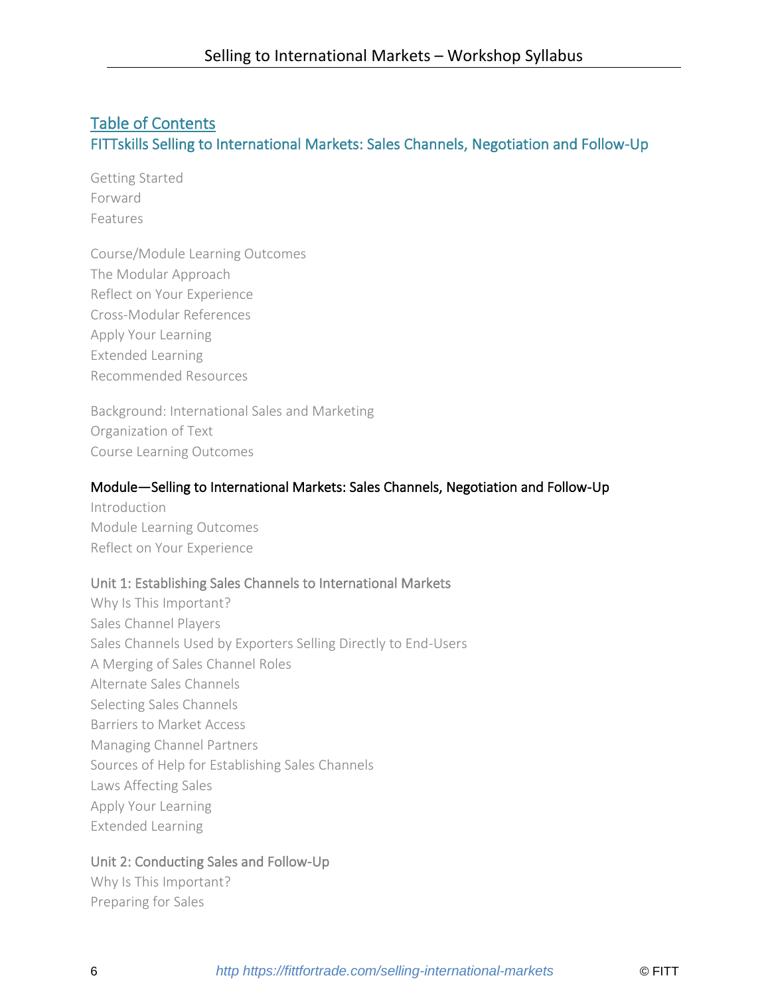# Table of Contents FITTskills Selling to International Markets: Sales Channels, Negotiation and Follow-Up

Getting Started Forward Features

Course/Module Learning Outcomes The Modular Approach Reflect on Your Experience Cross-Modular References Apply Your Learning Extended Learning Recommended Resources

Background: International Sales and Marketing Organization of Text Course Learning Outcomes

#### Module—Selling to International Markets: Sales Channels, Negotiation and Follow-Up

Introduction Module Learning Outcomes Reflect on Your Experience

#### Unit 1: Establishing Sales Channels to International Markets

Why Is This Important? Sales Channel Players Sales Channels Used by Exporters Selling Directly to End-Users A Merging of Sales Channel Roles Alternate Sales Channels Selecting Sales Channels Barriers to Market Access Managing Channel Partners Sources of Help for Establishing Sales Channels Laws Affecting Sales Apply Your Learning Extended Learning

## Unit 2: Conducting Sales and Follow-Up

Why Is This Important? Preparing for Sales